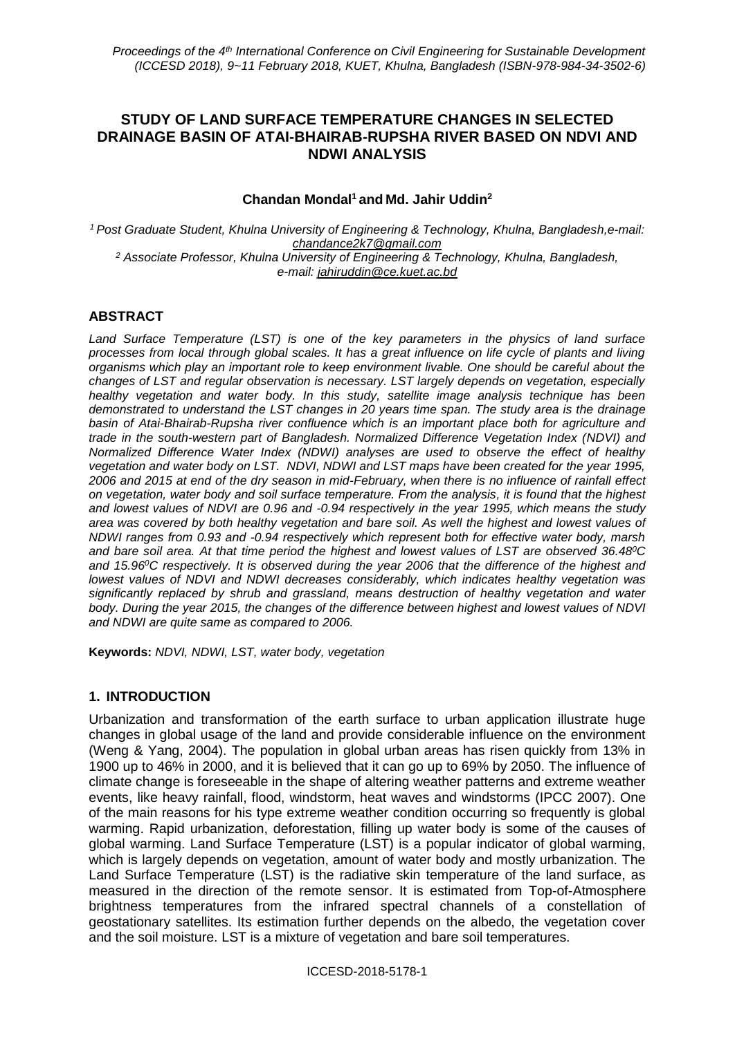# **STUDY OF LAND SURFACE TEMPERATURE CHANGES IN SELECTED DRAINAGE BASIN OF ATAI-BHAIRAB-RUPSHA RIVER BASED ON NDVI AND NDWI ANALYSIS**

#### **Chandan Mondal<sup>1</sup> and Md. Jahir Uddin<sup>2</sup>**

*<sup>1</sup>Post Graduate Student, Khulna University of Engineering & Technology, Khulna, Bangladesh,e-mail: chandance2k7@gmail.com <sup>2</sup> Associate Professor, Khulna University of Engineering & Technology, Khulna, Bangladesh, e-mail: [jahiruddin@ce.kuet.ac.bd](mailto:jahiruddin@ce.kuet.ac.bd)*

## **ABSTRACT**

*Land Surface Temperature (LST) is one of the key parameters in the physics of land surface processes from local through global scales. It has a great influence on life cycle of plants and living organisms which play an important role to keep environment livable. One should be careful about the changes of LST and regular observation is necessary. LST largely depends on vegetation, especially healthy vegetation and water body. In this study, satellite image analysis technique has been demonstrated to understand the LST changes in 20 years time span. The study area is the drainage basin of Atai-Bhairab-Rupsha river confluence which is an important place both for agriculture and trade in the south-western part of Bangladesh. Normalized Difference Vegetation Index (NDVI) and Normalized Difference Water Index (NDWI) analyses are used to observe the effect of healthy vegetation and water body on LST. NDVI, NDWI and LST maps have been created for the year 1995, 2006 and 2015 at end of the dry season in mid-February, when there is no influence of rainfall effect on vegetation, water body and soil surface temperature. From the analysis, it is found that the highest and lowest values of NDVI are 0.96 and -0.94 respectively in the year 1995, which means the study area was covered by both healthy vegetation and bare soil. As well the highest and lowest values of NDWI ranges from 0.93 and -0.94 respectively which represent both for effective water body, marsh and bare soil area. At that time period the highest and lowest values of LST are observed 36.48<sup>0</sup>C and 15.96<sup>0</sup>C respectively. It is observed during the year 2006 that the difference of the highest and lowest values of NDVI and NDWI decreases considerably, which indicates healthy vegetation was significantly replaced by shrub and grassland, means destruction of healthy vegetation and water body. During the year 2015, the changes of the difference between highest and lowest values of NDVI and NDWI are quite same as compared to 2006.* 

**Keywords:** *NDVI, NDWI, LST, water body, vegetation*

## **1. INTRODUCTION**

Urbanization and transformation of the earth surface to urban application illustrate huge changes in global usage of the land and provide considerable influence on the environment (Weng & Yang, 2004). The population in global urban areas has risen quickly from 13% in 1900 up to 46% in 2000, and it is believed that it can go up to 69% by 2050. The influence of climate change is foreseeable in the shape of altering weather patterns and extreme weather events, like heavy rainfall, flood, windstorm, heat waves and windstorms (IPCC 2007). One of the main reasons for his type extreme weather condition occurring so frequently is global warming. Rapid urbanization, deforestation, filling up water body is some of the causes of global warming. Land Surface Temperature (LST) is a popular indicator of global warming, which is largely depends on vegetation, amount of water body and mostly urbanization. The Land Surface Temperature (LST) is the radiative skin temperature of the land surface, as measured in the direction of the remote sensor. It is estimated from Top-of-Atmosphere brightness temperatures from the infrared spectral channels of a constellation of geostationary satellites. Its estimation further depends on the albedo, the vegetation cover and the soil moisture. LST is a mixture of vegetation and bare soil temperatures.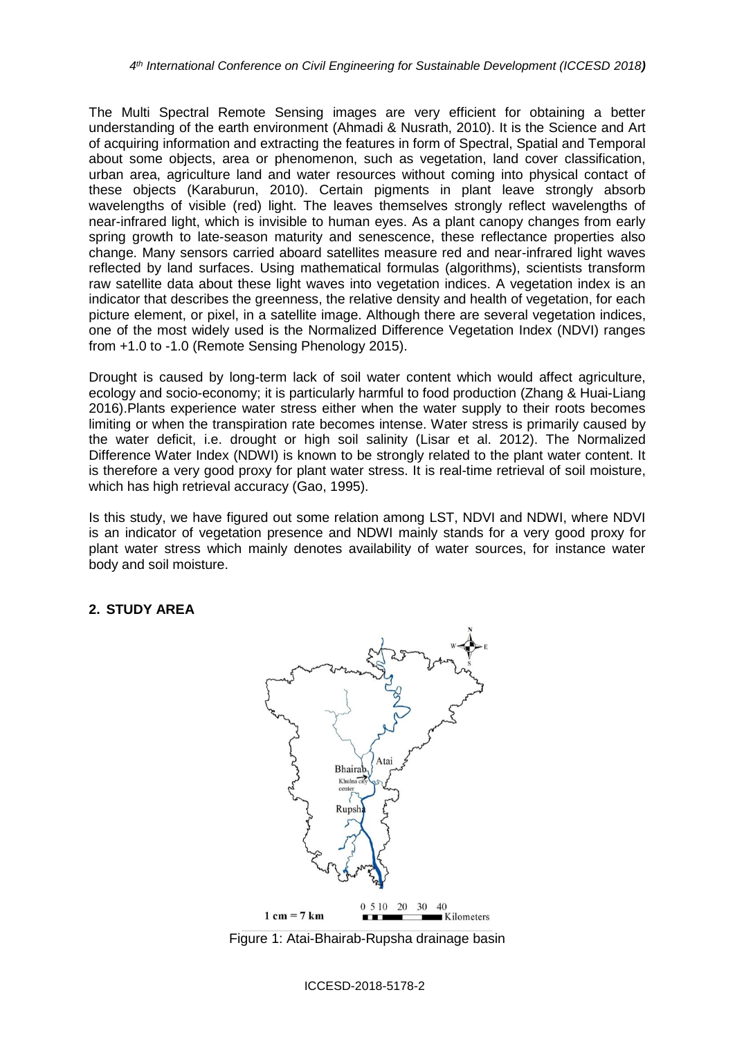The Multi Spectral Remote Sensing images are very efficient for obtaining a better understanding of the earth environment (Ahmadi & Nusrath, 2010). It is the Science and Art of acquiring information and extracting the features in form of Spectral, Spatial and Temporal about some objects, area or phenomenon, such as vegetation, land cover classification, urban area, agriculture land and water resources without coming into physical contact of these objects (Karaburun, 2010). Certain pigments in plant leave strongly absorb wavelengths of visible (red) light. The leaves themselves strongly reflect wavelengths of near-infrared light, which is invisible to human eyes. As a plant canopy changes from early spring growth to late-season maturity and senescence, these reflectance properties also change. Many sensors carried aboard satellites measure red and near-infrared light waves reflected by land surfaces. Using mathematical formulas (algorithms), scientists transform raw satellite data about these light waves into vegetation indices. A vegetation index is an indicator that describes the greenness, the relative density and health of vegetation, for each picture element, or pixel, in a satellite image. Although there are several vegetation indices, one of the most widely used is the Normalized Difference Vegetation Index (NDVI) ranges from +1.0 to -1.0 (Remote Sensing Phenology 2015).

Drought is caused by long-term lack of soil water content which would affect agriculture, ecology and socio-economy; it is particularly harmful to food production (Zhang & Huai-Liang 2016).Plants experience water stress either when the water supply to their roots becomes limiting or when the transpiration rate becomes intense. Water stress is primarily caused by the water deficit, i.e. drought or high soil salinity (Lisar et al. 2012). The Normalized Difference Water Index (NDWI) is known to be strongly related to the plant water content. It is therefore a very good proxy for plant water stress. It is real-time retrieval of soil moisture, which has high retrieval accuracy (Gao, 1995).

Is this study, we have figured out some relation among LST, NDVI and NDWI, where NDVI is an indicator of vegetation presence and NDWI mainly stands for a very good proxy for plant water stress which mainly denotes availability of water sources, for instance water body and soil moisture.

# **2. STUDY AREA**



Figure 1: Atai-Bhairab-Rupsha drainage basin

ICCESD-2018-5178-2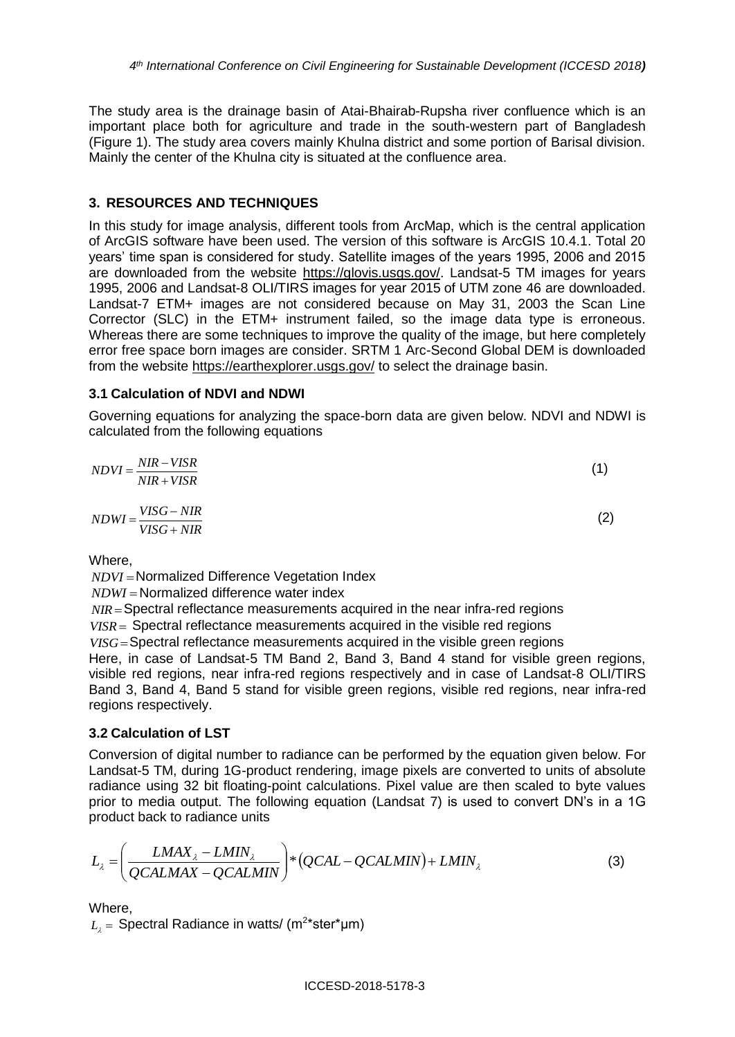The study area is the drainage basin of Atai-Bhairab-Rupsha river confluence which is an important place both for agriculture and trade in the south-western part of Bangladesh (Figure 1). The study area covers mainly Khulna district and some portion of Barisal division. Mainly the center of the Khulna city is situated at the confluence area.

## **3. RESOURCES AND TECHNIQUES**

In this study for image analysis, different tools from ArcMap, which is the central application of ArcGIS software have been used. The version of this software is ArcGIS 10.4.1. Total 20 years' time span is considered for study. Satellite images of the years 1995, 2006 and 2015 are downloaded from the website [https://glovis.usgs.gov/.](https://glovis.usgs.gov/) Landsat-5 TM images for years 1995, 2006 and Landsat-8 OLI/TIRS images for year 2015 of UTM zone 46 are downloaded. Landsat-7 ETM+ images are not considered because on May 31, 2003 the Scan Line Corrector (SLC) in the ETM+ instrument failed, so the image data type is erroneous. Whereas there are some techniques to improve the quality of the image, but here completely error free space born images are consider. SRTM 1 Arc-Second Global DEM is downloaded from the website<https://earthexplorer.usgs.gov/> to select the drainage basin.

#### **3.1 Calculation of NDVI and NDWI**

Governing equations for analyzing the space-born data are given below. NDVI and NDWI is calculated from the following equations

| $NDVI = \frac{NIR - VISR}{NIR}$<br>$NIR+VISR$ |     |
|-----------------------------------------------|-----|
| $NDWI = \frac{VISG - NIR}{S}$<br>$VISG + NIR$ | (2) |

Where,

*NDVI* Normalized Difference Vegetation Index

*NDWI* Normalized difference water index

*NIR* Spectral reflectance measurements acquired in the near infra-red regions

*VISR* Spectral reflectance measurements acquired in the visible red regions *VISG* Spectral reflectance measurements acquired in the visible green regions

Here, in case of Landsat-5 TM Band 2, Band 3, Band 4 stand for visible green regions, visible red regions, near infra-red regions respectively and in case of Landsat-8 OLI/TIRS Band 3, Band 4, Band 5 stand for visible green regions, visible red regions, near infra-red regions respectively.

## **3.2 Calculation of LST**

Conversion of digital number to radiance can be performed by the equation given below. For Landsat-5 TM, during 1G-product rendering, image pixels are converted to units of absolute radiance using 32 bit floating-point calculations. Pixel value are then scaled to byte values prior to media output. The following equation (Landsat 7) is used to convert DN's in a 1G product back to radiance units

$$
L_{\lambda} = \left(\frac{LMAX_{\lambda} - LMIN_{\lambda}}{QCALMAX - QCALMIN}\right) * (QCAL - QCALMIN) + LMIN_{\lambda}
$$
\n(3)

Where,

 $L_{\lambda} = {\sf Spectral}$  Radiance in watts/ (m<sup>2</sup>\*ster\*µm)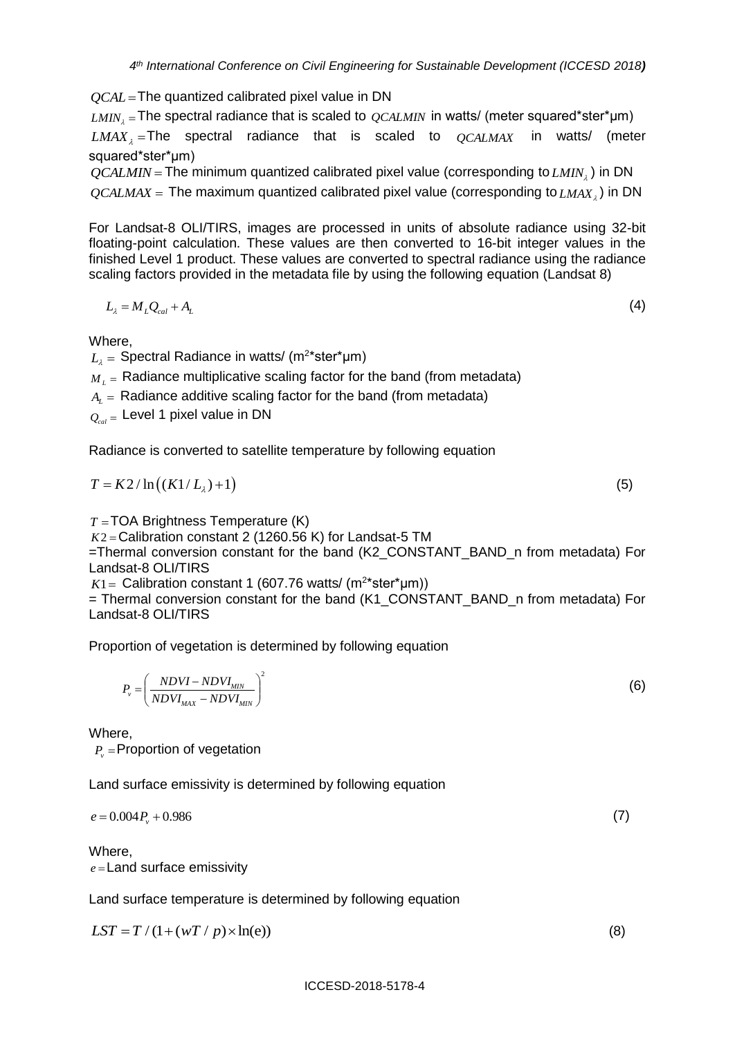*QCAL* The quantized calibrated pixel value in DN

 $_{LMIN_{\lambda}}$  =The spectral radiance that is scaled to  $_{QCALMIN}$  in watts/ (meter squared\*ster\*µm)  $LMAX_{\lambda}$  = The spectral radiance that is scaled to  $QCALMAX$  in watts/ (meter squared\*ster\*μm)

*QCALMIN* The minimum quantized calibrated pixel value (corresponding to *LMIN* ) in DN  $QCALMAX =$  The maximum quantized calibrated pixel value (corresponding to  $_{LMAX_{_{\lambda}}}$ ) in DN

For Landsat-8 OLI/TIRS, images are processed in units of absolute radiance using 32-bit floating-point calculation. These values are then converted to 16-bit integer values in the finished Level 1 product. These values are converted to spectral radiance using the radiance scaling factors provided in the metadata file by using the following equation (Landsat 8)

$$
L_{\lambda} = M_{L}Q_{cal} + A_{L} \tag{4}
$$

Where,

 $L_{\scriptscriptstyle \lambda}^{}$  = Spectral Radiance in watts/ (m<sup>2</sup>\*ster\*µm)

 $\overline{M}_L$  = Radiance multiplicative scaling factor for the band (from metadata)

 $A_{\rm\scriptscriptstyle L}^{}$  = Radiance additive scaling factor for the band (from metadata)

 $\mathcal{Q}_{\mathit{cal}}$  = Level 1 pixel value in DN

Radiance is converted to satellite temperature by following equation

$$
T = K2/\ln\left(\left(K1/L_{\lambda}\right)+1\right)
$$
\n(5)

*T* TOA Brightness Temperature (K) *K*2 Calibration constant 2 (1260.56 K) for Landsat-5 TM

=Thermal conversion constant for the band (K2\_CONSTANT\_BAND\_n from metadata) For Landsat-8 OLI/TIRS

 $K1 =$  Calibration constant 1 (607.76 watts/ (m<sup>2\*</sup>ster\*µm))

= Thermal conversion constant for the band (K1\_CONSTANT\_BAND\_n from metadata) For Landsat-8 OLI/TIRS

Proportion of vegetation is determined by following equation

$$
P_{\nu} = \left(\frac{NDVI - NDVI_{MIN}}{NDVI_{MAX} - NDVI_{MIN}}\right)^2
$$
\n(6)

Where,

 $P_{\scriptscriptstyle\rm V}$  =Proportion of vegetation

Land surface emissivity is determined by following equation

$$
e = 0.004 P_v + 0.986 \tag{7}
$$

Where, *e* Land surface emissivity

Land surface temperature is determined by following equation

$$
LST = T/(1+(wT/p) \times \ln(e))
$$
\n(8)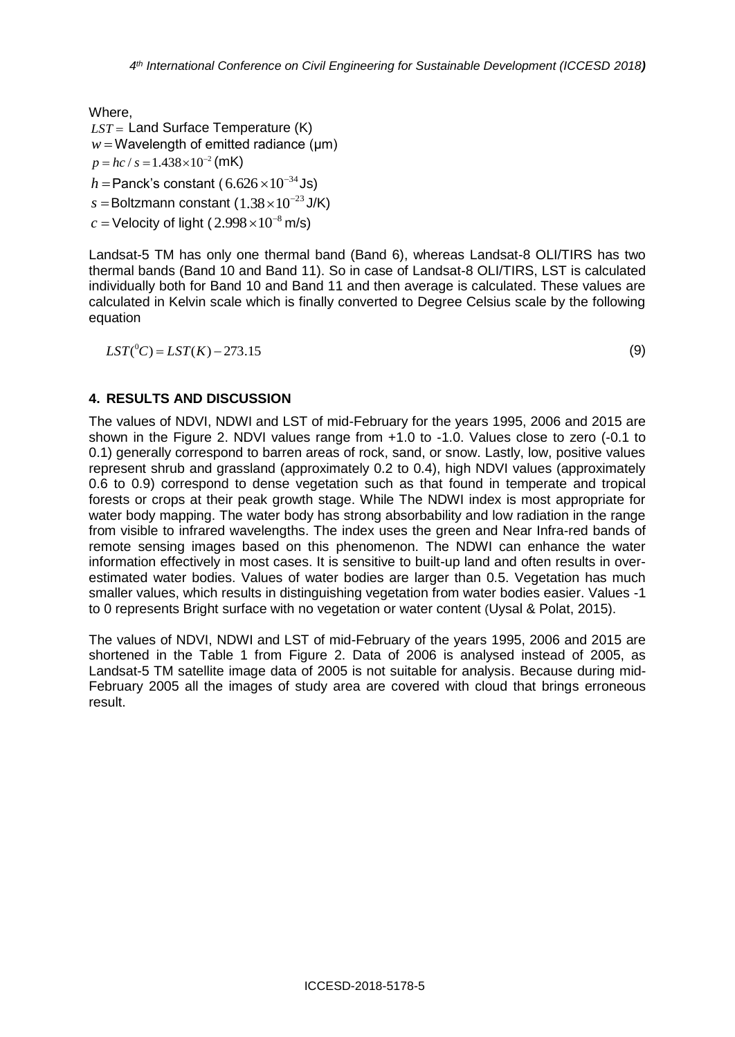Where, *LST* Land Surface Temperature (K)  $w =$  Wavelength of emitted radiance  $(\mu m)$  $p = hc / s = 1.438 \times 10^{-2}$  (mK)  $h$  =Panck's constant (  $6.626 \times 10^{-34}$  Js)  $s =$ Boltzmann constant (1.38 $\times 10^{-23}$ J/K)  $c$  = Velocity of light (  $2.998\times 10^{-8}$  m/s)

Landsat-5 TM has only one thermal band (Band 6), whereas Landsat-8 OLI/TIRS has two thermal bands (Band 10 and Band 11). So in case of Landsat-8 OLI/TIRS, LST is calculated individually both for Band 10 and Band 11 and then average is calculated. These values are calculated in Kelvin scale which is finally converted to Degree Celsius scale by the following equation

 $LST({}^{0}C) = LST(K) - 273.15$  (9)

## **4. RESULTS AND DISCUSSION**

The values of NDVI, NDWI and LST of mid-February for the years 1995, 2006 and 2015 are shown in the Figure 2. NDVI values range from +1.0 to -1.0. Values close to zero (-0.1 to 0.1) generally correspond to barren areas of rock, sand, or snow. Lastly, low, positive values represent shrub and grassland (approximately 0.2 to 0.4), high NDVI values (approximately 0.6 to 0.9) correspond to dense vegetation such as that found in temperate and tropical forests or crops at their peak growth stage. While The NDWI index is most appropriate for water body mapping. The water body has strong absorbability and low radiation in the range from visible to infrared wavelengths. The index uses the green and Near Infra-red bands of remote sensing images based on this phenomenon. The NDWI can enhance the water information effectively in most cases. It is sensitive to built-up land and often results in overestimated water bodies. Values of water bodies are larger than 0.5. Vegetation has much smaller values, which results in distinguishing vegetation from water bodies easier. Values -1 to 0 represents Bright surface with no vegetation or water content (Uysal & Polat, 2015).

The values of NDVI, NDWI and LST of mid-February of the years 1995, 2006 and 2015 are shortened in the Table 1 from Figure 2. Data of 2006 is analysed instead of 2005, as Landsat-5 TM satellite image data of 2005 is not suitable for analysis. Because during mid-February 2005 all the images of study area are covered with cloud that brings erroneous result.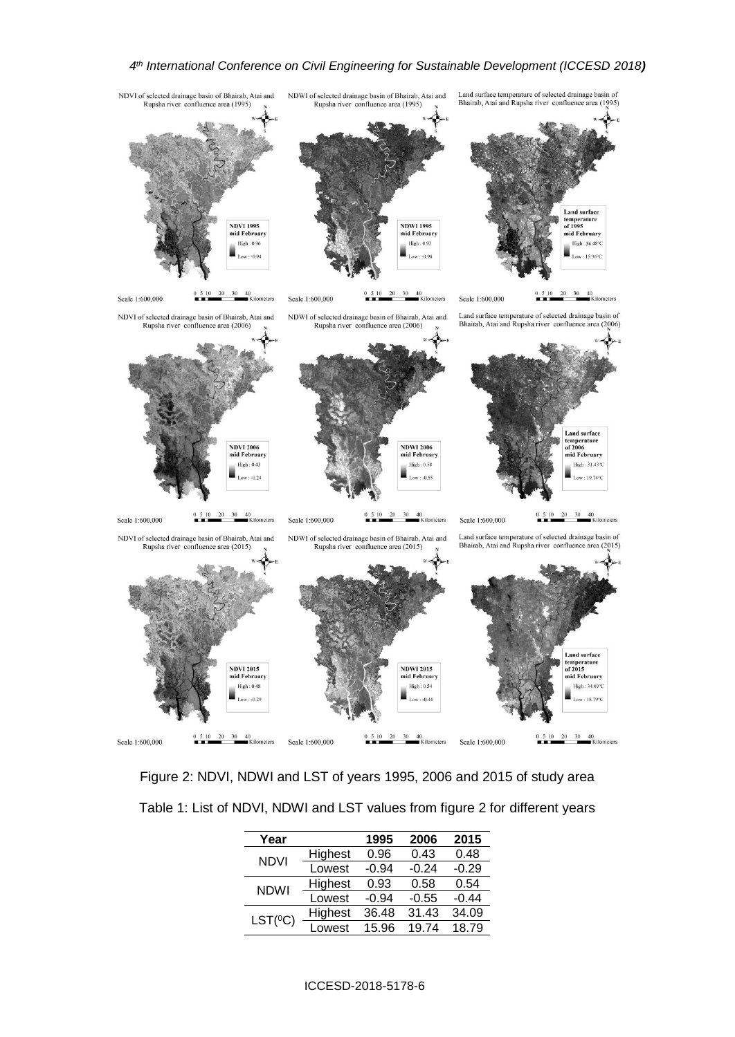#### *4 th International Conference on Civil Engineering for Sustainable Development (ICCESD 2018)*



Figure 2: NDVI, NDWI and LST of years 1995, 2006 and 2015 of study area

| Year         |         | 1995    | 2006    | 2015    |
|--------------|---------|---------|---------|---------|
| <b>NDVI</b>  | Highest | 0.96    | 0.43    | 0.48    |
|              | Lowest  | $-0.94$ | $-0.24$ | $-0.29$ |
| <b>NDWI</b>  | Highest | 0.93    | 0.58    | 0.54    |
|              | Lowest  | $-0.94$ | $-0.55$ | $-0.44$ |
| $LST(^{0}C)$ | Highest | 36.48   | 31.43   | 34.09   |
|              | Lowest  | 15.96   | 19.74   | 18.79   |
|              |         |         |         |         |

#### ICCESD-2018-5178-6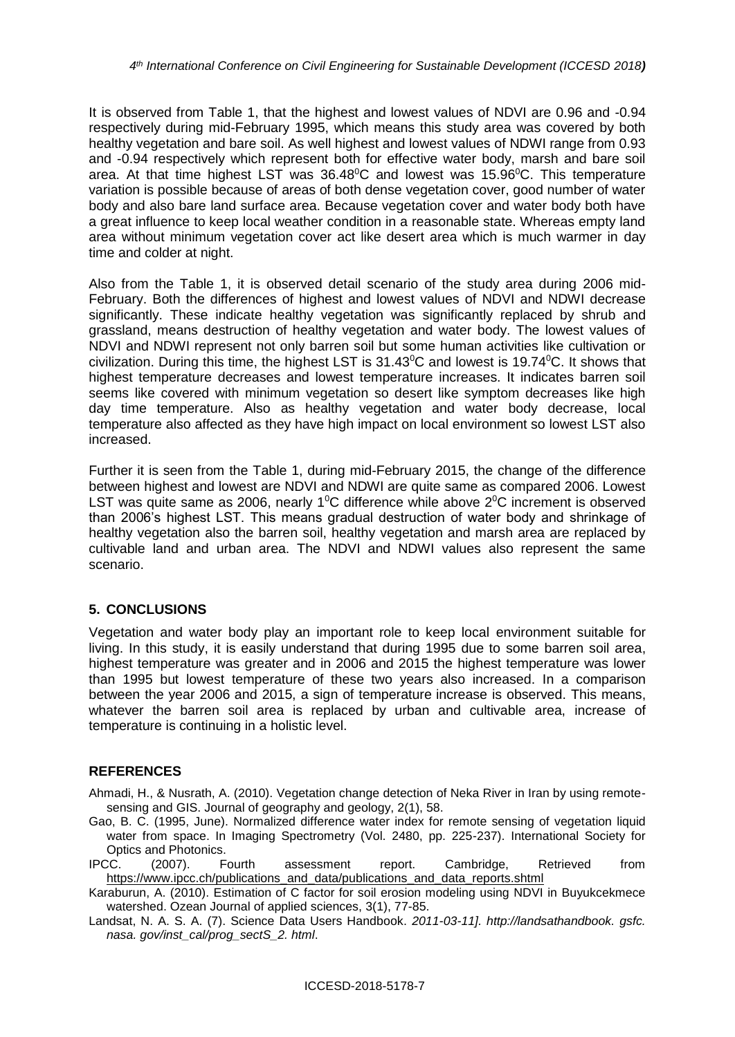It is observed from Table 1, that the highest and lowest values of NDVI are 0.96 and -0.94 respectively during mid-February 1995, which means this study area was covered by both healthy vegetation and bare soil. As well highest and lowest values of NDWI range from 0.93 and -0.94 respectively which represent both for effective water body, marsh and bare soil area. At that time highest LST was  $36.48^{\circ}$ C and lowest was  $15.96^{\circ}$ C. This temperature variation is possible because of areas of both dense vegetation cover, good number of water body and also bare land surface area. Because vegetation cover and water body both have a great influence to keep local weather condition in a reasonable state. Whereas empty land area without minimum vegetation cover act like desert area which is much warmer in day time and colder at night.

Also from the Table 1, it is observed detail scenario of the study area during 2006 mid-February. Both the differences of highest and lowest values of NDVI and NDWI decrease significantly. These indicate healthy vegetation was significantly replaced by shrub and grassland, means destruction of healthy vegetation and water body. The lowest values of NDVI and NDWI represent not only barren soil but some human activities like cultivation or civilization. During this time, the highest LST is 31.43<sup>0</sup>C and lowest is 19.74<sup>0</sup>C. It shows that highest temperature decreases and lowest temperature increases. It indicates barren soil seems like covered with minimum vegetation so desert like symptom decreases like high day time temperature. Also as healthy vegetation and water body decrease, local temperature also affected as they have high impact on local environment so lowest LST also increased.

Further it is seen from the Table 1, during mid-February 2015, the change of the difference between highest and lowest are NDVI and NDWI are quite same as compared 2006. Lowest LST was quite same as 2006, nearly 1<sup>o</sup>C difference while above  $2^{\circ}$ C increment is observed than 2006's highest LST. This means gradual destruction of water body and shrinkage of healthy vegetation also the barren soil, healthy vegetation and marsh area are replaced by cultivable land and urban area. The NDVI and NDWI values also represent the same scenario.

## **5. CONCLUSIONS**

Vegetation and water body play an important role to keep local environment suitable for living. In this study, it is easily understand that during 1995 due to some barren soil area, highest temperature was greater and in 2006 and 2015 the highest temperature was lower than 1995 but lowest temperature of these two years also increased. In a comparison between the year 2006 and 2015, a sign of temperature increase is observed. This means, whatever the barren soil area is replaced by urban and cultivable area, increase of temperature is continuing in a holistic level.

## **REFERENCES**

Ahmadi, H., & Nusrath, A. (2010). Vegetation change detection of Neka River in Iran by using remotesensing and GIS. Journal of geography and geology, 2(1), 58.

- Gao, B. C. (1995, June). Normalized difference water index for remote sensing of vegetation liquid water from space. In Imaging Spectrometry (Vol. 2480, pp. 225-237). International Society for Optics and Photonics.
- IPCC. (2007). Fourth assessment report. Cambridge, Retrieved from [https://www.ipcc.ch/publications\\_and\\_data/publications\\_and\\_data\\_reports.shtml](https://www.ipcc.ch/publications_and_data/publications_and_data_reports.shtml)
- Karaburun, A. (2010). Estimation of C factor for soil erosion modeling using NDVI in Buyukcekmece watershed. Ozean Journal of applied sciences, 3(1), 77-85.
- Landsat, N. A. S. A. (7). Science Data Users Handbook. *2011-03-11]. http://landsathandbook. gsfc. nasa. gov/inst\_cal/prog\_sectS\_2. html*.